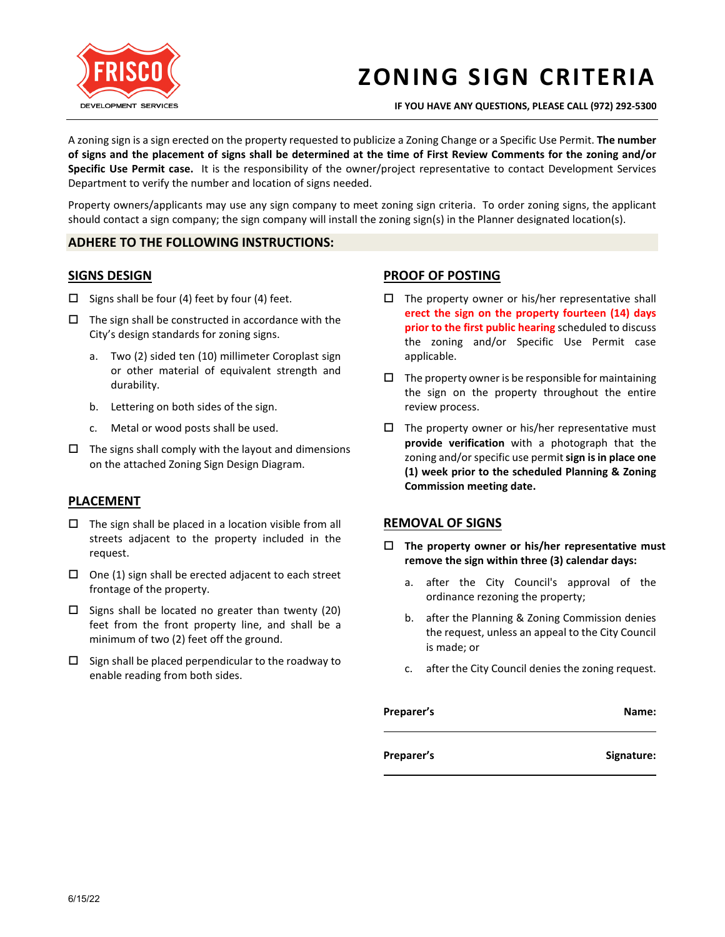

# **ZONING SIGN CRITERIA**

**IF YOU HAVE ANY QUESTIONS, PLEASE CALL (972) 292-5300**

A zoning sign is a sign erected on the property requested to publicize a Zoning Change or a Specific Use Permit. **The number of signs and the placement of signs shall be determined at the time of First Review Comments for the zoning and/or Specific Use Permit case.** It is the responsibility of the owner/project representative to contact Development Services Department to verify the number and location of signs needed.

Property owners/applicants may use any sign company to meet zoning sign criteria. To order zoning signs, the applicant should contact a sign company; the sign company will install the zoning sign(s) in the Planner designated location(s).

#### **ADHERE TO THE FOLLOWING INSTRUCTIONS:**

#### **SIGNS DESIGN**

- $\square$  Signs shall be four (4) feet by four (4) feet.
- $\Box$  The sign shall be constructed in accordance with the City's design standards for zoning signs.
	- a. Two (2) sided ten (10) millimeter Coroplast sign or other material of equivalent strength and durability.
	- b. Lettering on both sides of the sign.
	- c. Metal or wood posts shall be used.
- $\Box$  The signs shall comply with the layout and dimensions on the attached Zoning Sign Design Diagram.

### **PLACEMENT**

- $\Box$  The sign shall be placed in a location visible from all streets adjacent to the property included in the request.
- $\Box$  One (1) sign shall be erected adjacent to each street frontage of the property.
- $\square$  Signs shall be located no greater than twenty (20) feet from the front property line, and shall be a minimum of two (2) feet off the ground.
- $\square$  Sign shall be placed perpendicular to the roadway to enable reading from both sides.

### **PROOF OF POSTING**

- $\square$  The property owner or his/her representative shall **erect the sign on the property fourteen (14) days prior to the first public hearing** scheduled to discuss the zoning and/or Specific Use Permit case applicable.
- $\Box$  The property owner is be responsible for maintaining the sign on the property throughout the entire review process.
- $\Box$  The property owner or his/her representative must **provide verification** with a photograph that the zoning and/or specific use permit**sign is in place one (1) week prior to the scheduled Planning & Zoning Commission meeting date.**

### **REMOVAL OF SIGNS**

- **The property owner or his/her representative must remove the sign within three (3) calendar days:** 
	- a. after the City Council's approval of the ordinance rezoning the property;
	- b. after the Planning & Zoning Commission denies the request, unless an appeal to the City Council is made; or
	- c. after the City Council denies the zoning request.

| Preparer's | Name:      |
|------------|------------|
| Preparer's | Signature: |